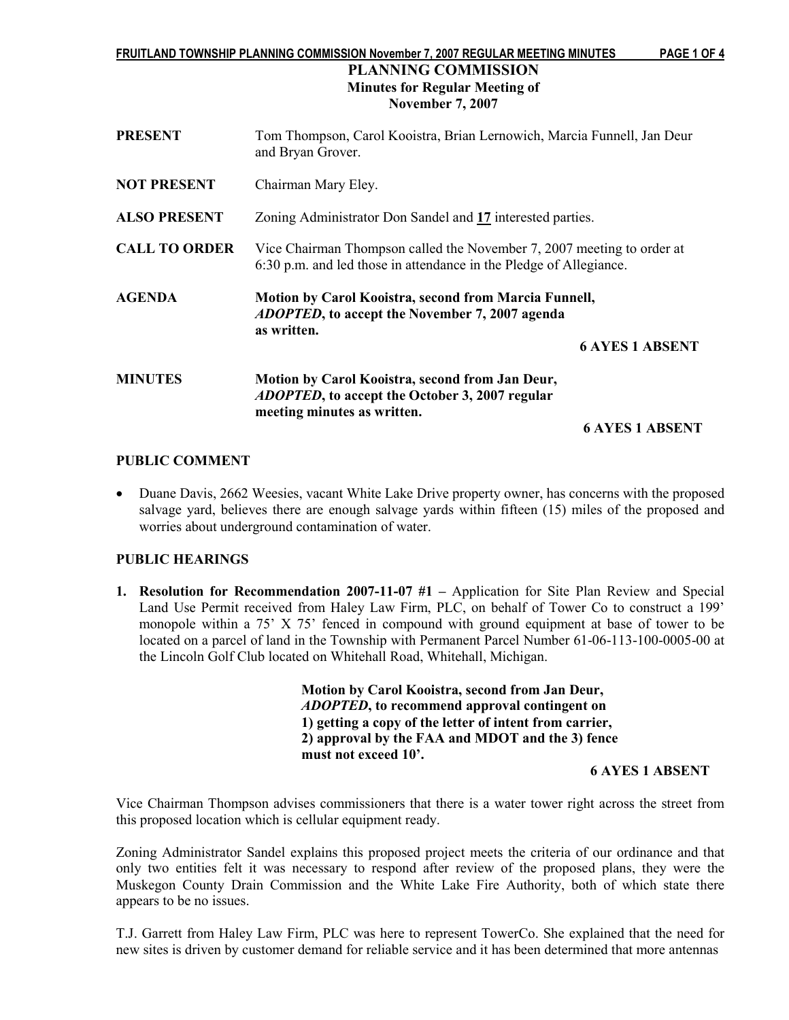#### FRUITLAND TOWNSHIP PLANNING COMMISSION November 7, 2007 REGULAR MEETING MINUTES PAGE 1 OF 4

## PLANNING COMMISSION Minutes for Regular Meeting of November 7, 2007

| <b>PRESENT</b>       | Tom Thompson, Carol Kooistra, Brian Lernowich, Marcia Funnell, Jan Deur<br>and Bryan Grover.                                                 |  |  |
|----------------------|----------------------------------------------------------------------------------------------------------------------------------------------|--|--|
| <b>NOT PRESENT</b>   | Chairman Mary Eley.                                                                                                                          |  |  |
| <b>ALSO PRESENT</b>  | Zoning Administrator Don Sandel and 17 interested parties.                                                                                   |  |  |
| <b>CALL TO ORDER</b> | Vice Chairman Thompson called the November 7, 2007 meeting to order at<br>6:30 p.m. and led those in attendance in the Pledge of Allegiance. |  |  |
| <b>AGENDA</b>        | Motion by Carol Kooistra, second from Marcia Funnell,<br><i>ADOPTED</i> , to accept the November 7, 2007 agenda<br>as written.               |  |  |
|                      | <b>6 AYES 1 ABSENT</b>                                                                                                                       |  |  |
| <b>MINUTES</b>       | Motion by Carol Kooistra, second from Jan Deur,<br><i>ADOPTED</i> , to accept the October 3, 2007 regular<br>meeting minutes as written.     |  |  |
|                      | <b>6 AYES 1 ABSENT</b>                                                                                                                       |  |  |

## PUBLIC COMMENT

• Duane Davis, 2662 Weesies, vacant White Lake Drive property owner, has concerns with the proposed salvage yard, believes there are enough salvage yards within fifteen (15) miles of the proposed and worries about underground contamination of water.

## PUBLIC HEARINGS

1. Resolution for Recommendation 2007-11-07 #1 – Application for Site Plan Review and Special Land Use Permit received from Haley Law Firm, PLC, on behalf of Tower Co to construct a 199' monopole within a 75' X 75' fenced in compound with ground equipment at base of tower to be located on a parcel of land in the Township with Permanent Parcel Number 61-06-113-100-0005-00 at the Lincoln Golf Club located on Whitehall Road, Whitehall, Michigan.

> Motion by Carol Kooistra, second from Jan Deur, ADOPTED, to recommend approval contingent on 1) getting a copy of the letter of intent from carrier, 2) approval by the FAA and MDOT and the 3) fence must not exceed 10'.

#### 6 AYES 1 ABSENT

Vice Chairman Thompson advises commissioners that there is a water tower right across the street from this proposed location which is cellular equipment ready.

Zoning Administrator Sandel explains this proposed project meets the criteria of our ordinance and that only two entities felt it was necessary to respond after review of the proposed plans, they were the Muskegon County Drain Commission and the White Lake Fire Authority, both of which state there appears to be no issues.

T.J. Garrett from Haley Law Firm, PLC was here to represent TowerCo. She explained that the need for new sites is driven by customer demand for reliable service and it has been determined that more antennas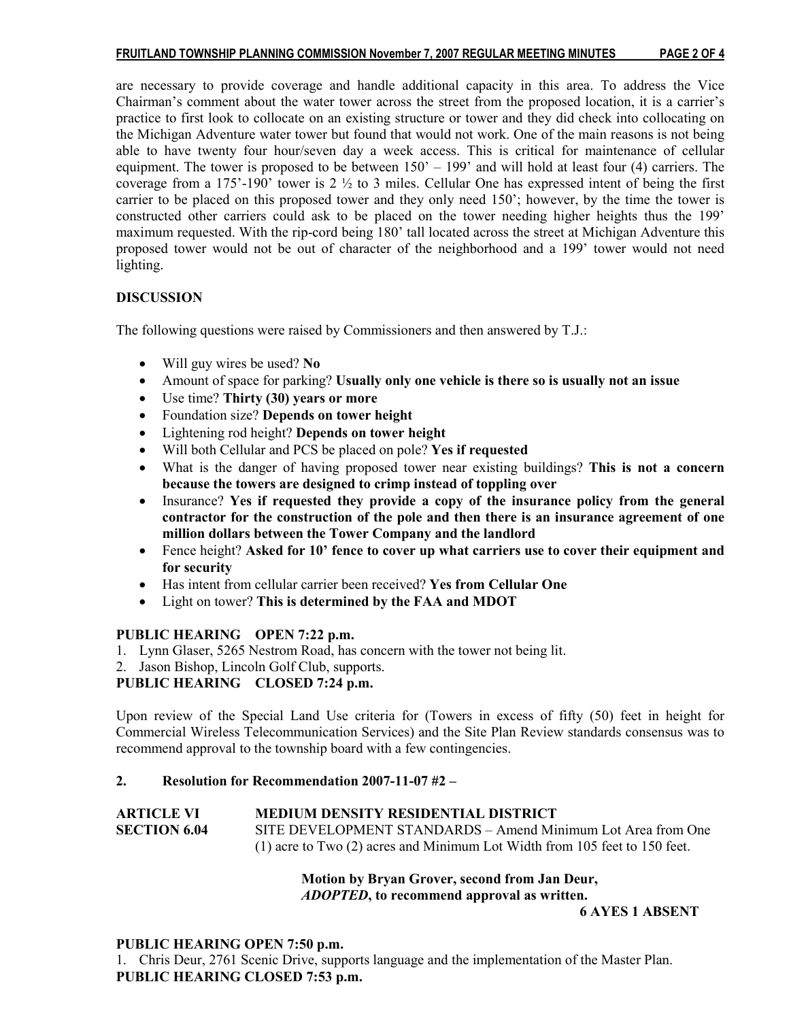## FRUITLAND TOWNSHIP PLANNING COMMISSION November 7, 2007 REGULAR MEETING MINUTES PAGE 2 OF 4

are necessary to provide coverage and handle additional capacity in this area. To address the Vice Chairman's comment about the water tower across the street from the proposed location, it is a carrier's practice to first look to collocate on an existing structure or tower and they did check into collocating on the Michigan Adventure water tower but found that would not work. One of the main reasons is not being able to have twenty four hour/seven day a week access. This is critical for maintenance of cellular equipment. The tower is proposed to be between 150' – 199' and will hold at least four (4) carriers. The coverage from a 175'-190' tower is 2 ½ to 3 miles. Cellular One has expressed intent of being the first carrier to be placed on this proposed tower and they only need 150'; however, by the time the tower is constructed other carriers could ask to be placed on the tower needing higher heights thus the 199' maximum requested. With the rip-cord being 180' tall located across the street at Michigan Adventure this proposed tower would not be out of character of the neighborhood and a 199' tower would not need lighting.

## **DISCUSSION**

The following questions were raised by Commissioners and then answered by T.J.:

- Will guy wires be used? No
- Amount of space for parking? Usually only one vehicle is there so is usually not an issue
- Use time? Thirty (30) years or more
- Foundation size? Depends on tower height
- Lightening rod height? Depends on tower height
- Will both Cellular and PCS be placed on pole? Yes if requested
- What is the danger of having proposed tower near existing buildings? This is not a concern because the towers are designed to crimp instead of toppling over
- Insurance? Yes if requested they provide a copy of the insurance policy from the general contractor for the construction of the pole and then there is an insurance agreement of one million dollars between the Tower Company and the landlord
- Fence height? Asked for 10' fence to cover up what carriers use to cover their equipment and for security
- Has intent from cellular carrier been received? Yes from Cellular One
- Light on tower? This is determined by the FAA and MDOT

## PUBLIC HEARING OPEN 7:22 p.m.

- 1. Lynn Glaser, 5265 Nestrom Road, has concern with the tower not being lit.
- 2. Jason Bishop, Lincoln Golf Club, supports.

## PUBLIC HEARING CLOSED 7:24 p.m.

Upon review of the Special Land Use criteria for (Towers in excess of fifty (50) feet in height for Commercial Wireless Telecommunication Services) and the Site Plan Review standards consensus was to recommend approval to the township board with a few contingencies.

## 2. Resolution for Recommendation 2007-11-07 #2 –

| <b>ARTICLE VI</b>   | <b>MEDIUM DENSITY RESIDENTIAL DISTRICT</b>                                     |
|---------------------|--------------------------------------------------------------------------------|
| <b>SECTION 6.04</b> | SITE DEVELOPMENT STANDARDS – Amend Minimum Lot Area from One                   |
|                     | $(1)$ acre to Two $(2)$ acres and Minimum Lot Width from 105 feet to 150 feet. |

## Motion by Bryan Grover, second from Jan Deur, ADOPTED, to recommend approval as written.

6 AYES 1 ABSENT

#### PUBLIC HEARING OPEN 7:50 p.m.

1. Chris Deur, 2761 Scenic Drive, supports language and the implementation of the Master Plan. PUBLIC HEARING CLOSED 7:53 p.m.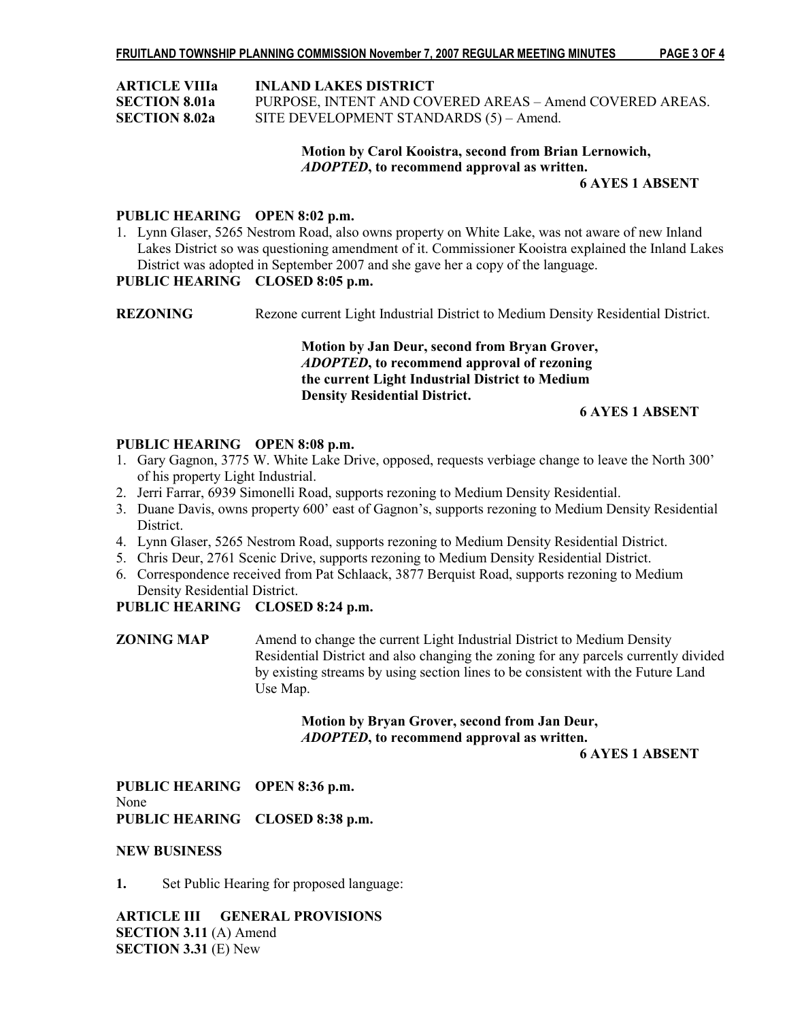|  |  |  | PAGE 3 OF 4 |  |
|--|--|--|-------------|--|
|--|--|--|-------------|--|

| <b>ARTICLE VIIIa</b> | <b>INLAND LAKES DISTRICT</b>                             |
|----------------------|----------------------------------------------------------|
| <b>SECTION 8.01a</b> | PURPOSE, INTENT AND COVERED AREAS - Amend COVERED AREAS. |
| <b>SECTION 8.02a</b> | SITE DEVELOPMENT STANDARDS (5) - Amend.                  |

# Motion by Carol Kooistra, second from Brian Lernowich, ADOPTED, to recommend approval as written.

#### 6 AYES 1 ABSENT

### PUBLIC HEARING OPEN 8:02 p.m.

1. Lynn Glaser, 5265 Nestrom Road, also owns property on White Lake, was not aware of new Inland Lakes District so was questioning amendment of it. Commissioner Kooistra explained the Inland Lakes District was adopted in September 2007 and she gave her a copy of the language.

## PUBLIC HEARING CLOSED 8:05 p.m.

REZONING Rezone current Light Industrial District to Medium Density Residential District.

## Motion by Jan Deur, second from Bryan Grover, ADOPTED, to recommend approval of rezoning the current Light Industrial District to Medium Density Residential District.

## 6 AYES 1 ABSENT

### PUBLIC HEARING OPEN 8:08 p.m.

- 1. Gary Gagnon, 3775 W. White Lake Drive, opposed, requests verbiage change to leave the North 300' of his property Light Industrial.
- 2. Jerri Farrar, 6939 Simonelli Road, supports rezoning to Medium Density Residential.
- 3. Duane Davis, owns property 600' east of Gagnon's, supports rezoning to Medium Density Residential **District**
- 4. Lynn Glaser, 5265 Nestrom Road, supports rezoning to Medium Density Residential District.
- 5. Chris Deur, 2761 Scenic Drive, supports rezoning to Medium Density Residential District.
- 6. Correspondence received from Pat Schlaack, 3877 Berquist Road, supports rezoning to Medium Density Residential District.

## PUBLIC HEARING CLOSED 8:24 p.m.

ZONING MAP Amend to change the current Light Industrial District to Medium Density Residential District and also changing the zoning for any parcels currently divided by existing streams by using section lines to be consistent with the Future Land Use Map.

## Motion by Bryan Grover, second from Jan Deur, ADOPTED, to recommend approval as written.

6 AYES 1 ABSENT

PUBLIC HEARING OPEN 8:36 p.m. None PUBLIC HEARING CLOSED 8:38 p.m.

#### NEW BUSINESS

1. Set Public Hearing for proposed language:

ARTICLE III GENERAL PROVISIONS SECTION 3.11 (A) Amend SECTION 3.31 (E) New